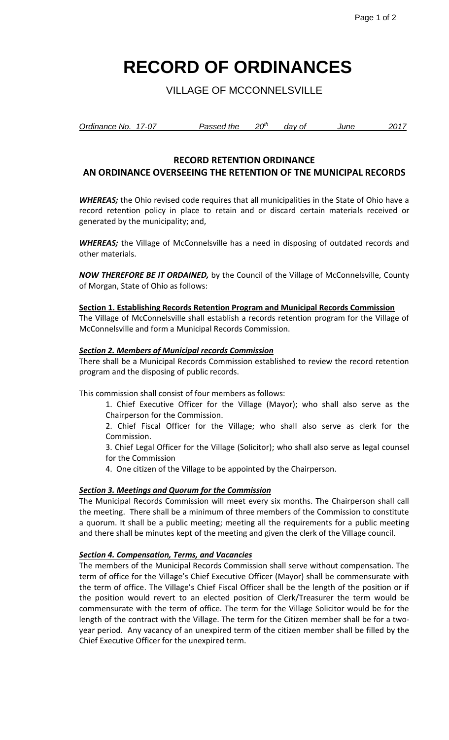# **RECORD OF ORDINANCES**

VILLAGE OF MCCONNELSVILLE

| Ordinance No. 17-07 | Passed the | 20 <sup>th</sup> | dav of | June | 2017 |
|---------------------|------------|------------------|--------|------|------|
|                     |            |                  |        |      |      |

## **RECORD RETENTION ORDINANCE**

# **AN ORDINANCE OVERSEEING THE RETENTION OF TNE MUNICIPAL RECORDS**

*WHEREAS;* the Ohio revised code requires that all municipalities in the State of Ohio have a record retention policy in place to retain and or discard certain materials received or generated by the municipality; and,

*WHEREAS;* the Village of McConnelsville has a need in disposing of outdated records and other materials.

*NOW THEREFORE BE IT ORDAINED,* by the Council of the Village of McConnelsville, County of Morgan, State of Ohio as follows:

#### **Section 1. Establishing Records Retention Program and Municipal Records Commission**

The Village of McConnelsville shall establish a records retention program for the Village of McConnelsville and form a Municipal Records Commission.

#### *Section 2. Members of Municipal records Commission*

There shall be a Municipal Records Commission established to review the record retention program and the disposing of public records.

This commission shall consist of four members as follows:

1. Chief Executive Officer for the Village (Mayor); who shall also serve as the Chairperson for the Commission.

2. Chief Fiscal Officer for the Village; who shall also serve as clerk for the Commission.

3. Chief Legal Officer for the Village (Solicitor); who shall also serve as legal counsel for the Commission

4. One citizen of the Village to be appointed by the Chairperson.

#### *Section 3. Meetings and Quorum for the Commission*

The Municipal Records Commission will meet every six months. The Chairperson shall call the meeting. There shall be a minimum of three members of the Commission to constitute a quorum. It shall be a public meeting; meeting all the requirements for a public meeting and there shall be minutes kept of the meeting and given the clerk of the Village council.

#### *Section 4. Compensation, Terms, and Vacancies*

The members of the Municipal Records Commission shall serve without compensation. The term of office for the Village's Chief Executive Officer (Mayor) shall be commensurate with the term of office. The Village's Chief Fiscal Officer shall be the length of the position or if the position would revert to an elected position of Clerk/Treasurer the term would be commensurate with the term of office. The term for the Village Solicitor would be for the length of the contract with the Village. The term for the Citizen member shall be for a twoyear period. Any vacancy of an unexpired term of the citizen member shall be filled by the Chief Executive Officer for the unexpired term.